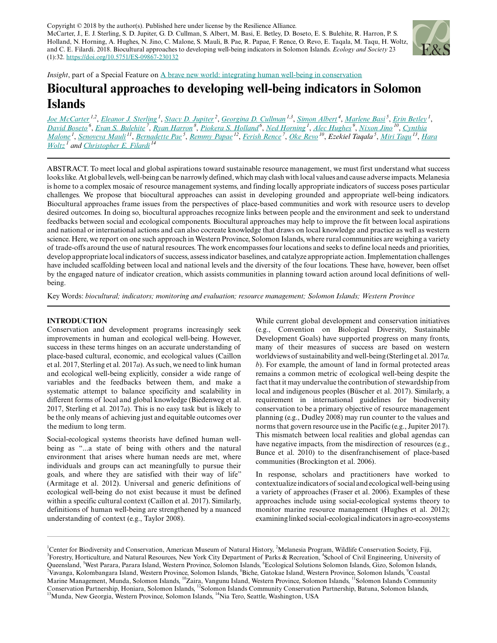Copyright © 2018 by the author(s). Published here under license by the Resilience Alliance. McCarter, J., E. J. Sterling, S. D. Jupiter, G. D. Cullman, S. Albert, M. Basi, E. Betley, D. Boseto, E. S. Bulehite, R. Harron, P. S. Holland, N. Horning, A. Hughes, N. Jino, C. Malone, S. Mauli, B. Pae, R. Papae, F. Rence, O. Revo, E. Taqala, M. Taqu, H. Woltz, and C. E. Filardi. 2018. Biocultural approaches to developing well-being indicators in Solomon Islands. *Ecology and Society* 23 (1):32. <https://doi.org/10.5751/ES-09867-230132>



*Insight*, part of a Special Feature on [A brave new world: integrating human well-being in conservation](https://www.ecologyandsociety.org/viewissue.php?sf=126)

# **Biocultural approaches to developing well-being indicators in Solomon Islands**

<u>[Joe McCarter](mailto:joe.mccarter@gmail.com)<sup>1,2</sup>, [Eleanor J. Sterling](mailto:sterling@amnh.org)<sup>1</sup>, [Stacy D. Jupiter](mailto:sjupiter@wcs.org)<sup>2</sup>, [Georgina D. Cullman](mailto:gcullman@amnh.org)<sup>1,3</sup>, [Simon Albert](mailto:s.albert@uq.edu.au)<sup>4</sup>, [Marlene Basi](mailto:joe.mccarter@gmail.com)<sup>5</sup>, [Erin Betley](mailto:ebetley@amnh.org)<sup>1</sup>,</u> <u>[David Boseto](mailto:dboseto@ecologicalsolutions-si.com)<sup>6</sup>, [Evan S. Bulehite](mailto:joe.mccarter@gmail.com)<sup>7</sup>, [Ryan Harron](mailto:joe.mccarter@gmail.com)<sup>8</sup>, [Piokera S. Holland](mailto:pioxy143@gmail.com)<sup>6</sup>, [Ned Horning](mailto:horning@amnh.org)<sup>1</sup>, [Alec Hughes](mailto:alec@c-m-2.com)<sup>9</sup>, [Nixon Jino](mailto:joe.mccarter@gmail.com)<sup>10</sup>, [Cynthia](mailto:cmalone@amnh.org)</u> [Malone](mailto:cmalone@amnh.org)<sup>1</sup>, <u>[Senoveva Mauli](mailto:smauli@siccp.org)<sup>11</sup>, [Bernadette Pae](mailto:joe.mccarter@gmail.com)<sup>5</sup>, [Remmy Papae](mailto:rpapae.siccp@gmail.com)<sup>12</sup>, <u>[Ferish Rence](mailto:Ferish.Rence@gmail.com)<sup>7</sup>, [Oke Revo](mailto:oke.revo1@gmail.com)<sup>10</sup>, E</u>zekiel Taqala<sup>5</sup>, <u>[Miri Taqu](mailto:taqumt@gmail.com)<sup>13</sup>, [Hara](mailto:hara@harawoltz.com)</u></u> *[Woltz](mailto:hara@harawoltz.com)<sup>1</sup> and [Christopher E. Filardi](mailto:cfilardi@niatero.org)<sup>14</sup>*

ABSTRACT. To meet local and global aspirations toward sustainable resource management, we must first understand what success looks like. At global levels, well-being can be narrowly defined, which may clash with local values and cause adverse impacts. Melanesia is home to a complex mosaic of resource management systems, and finding locally appropriate indicators of success poses particular challenges. We propose that biocultural approaches can assist in developing grounded and appropriate well-being indicators. Biocultural approaches frame issues from the perspectives of place-based communities and work with resource users to develop desired outcomes. In doing so, biocultural approaches recognize links between people and the environment and seek to understand feedbacks between social and ecological components. Biocultural approaches may help to improve the fit between local aspirations and national or international actions and can also cocreate knowledge that draws on local knowledge and practice as well as western science. Here, we report on one such approach in Western Province, Solomon Islands, where rural communities are weighing a variety of trade-offs around the use of natural resources. The work encompasses four locations and seeks to define local needs and priorities, develop appropriate local indicators of success, assess indicator baselines, and catalyze appropriate action. Implementation challenges have included scaffolding between local and national levels and the diversity of the four locations. These have, however, been offset by the engaged nature of indicator creation, which assists communities in planning toward action around local definitions of wellbeing.

Key Words: *biocultural; indicators; monitoring and evaluation; resource management; Solomon Islands; Western Province*

# **INTRODUCTION**

Conservation and development programs increasingly seek improvements in human and ecological well-being. However, success in these terms hinges on an accurate understanding of place-based cultural, economic, and ecological values (Caillon et al. 2017, Sterling et al. 2017*a*). As such, we need to link human and ecological well-being explicitly, consider a wide range of variables and the feedbacks between them, and make a systematic attempt to balance specificity and scalability in different forms of local and global knowledge (Biedenweg et al. 2017, Sterling et al. 2017*a*). This is no easy task but is likely to be the only means of achieving just and equitable outcomes over the medium to long term.

Social-ecological systems theorists have defined human wellbeing as "...a state of being with others and the natural environment that arises where human needs are met, where individuals and groups can act meaningfully to pursue their goals, and where they are satisfied with their way of life" (Armitage et al. 2012). Universal and generic definitions of ecological well-being do not exist because it must be defined within a specific cultural context (Caillon et al. 2017). Similarly, definitions of human well-being are strengthened by a nuanced understanding of context (e.g., Taylor 2008).

While current global development and conservation initiatives (e.g., Convention on Biological Diversity, Sustainable Development Goals) have supported progress on many fronts, many of their measures of success are based on western worldviews of sustainability and well-being (Sterling et al. 2017*a, b*). For example, the amount of land in formal protected areas remains a common metric of ecological well-being despite the fact that it may undervalue the contribution of stewardship from local and indigenous peoples (Büscher et al. 2017). Similarly, a requirement in international guidelines for biodiversity conservation to be a primary objective of resource management planning (e.g., Dudley 2008) may run counter to the values and norms that govern resource use in the Pacific (e.g., Jupiter 2017). This mismatch between local realities and global agendas can have negative impacts, from the misdirection of resources (e.g., Bunce et al. 2010) to the disenfranchisement of place-based communities (Brockington et al. 2006).

In response, scholars and practitioners have worked to contextualize indicators of social and ecological well-being using a variety of approaches (Fraser et al. 2006). Examples of these approaches include using social-ecological systems theory to monitor marine resource management (Hughes et al. 2012); examining linked social-ecological indicators in agro-ecosystems

<sup>&</sup>lt;sup>1</sup>Center for Biodiversity and Conservation, American Museum of Natural History, <sup>2</sup>Melanesia Program, Wildlife Conservation Society, Fiji, <sup>3</sup>Forestry, Horticulture, and Natural Resources, New York City Department of Parks & Recreation, <sup>4</sup>School of Civil Engineering, University of Queensland, <sup>3</sup>West Parara, Parara Island, Western Province, Solomon Islands, <sup>6</sup>Ecological Solutions Solomon Islands, Gizo, Solomon Islands, <sup>7</sup>Vavanga, Kolombangara Island, Western Province, Solomon Islands, <sup>8</sup>Biche, Gatokae Island, Western Province, Solomon Islands, <sup>9</sup>Coastal Marine Management, Munda, Solomon Islands, <sup>10</sup>Zaira, Vangunu Island, Western Province, Solomon Islands, <sup>11</sup>Solomon Islands Community Conservation Partnership, Honiara, Solomon Islands, <sup>12</sup>Solomon Islands Community Conservation Partnership, Batuna, Solomon Islands, <sup>13</sup>Munda, New Georgia, Western Province, Solomon Islands, <sup>14</sup>Nia Tero, Seattle, Washington, USA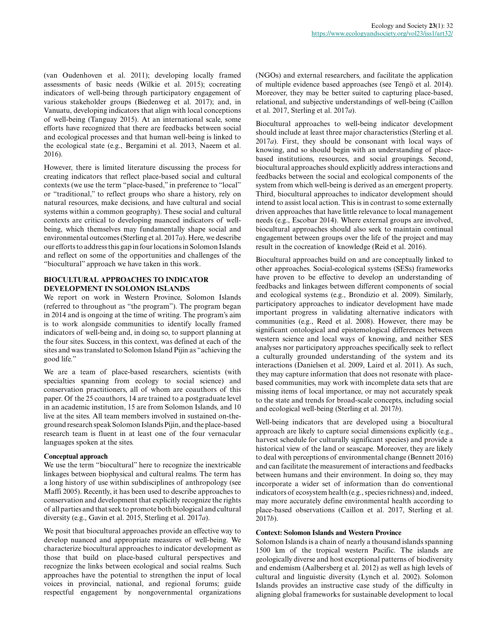(van Oudenhoven et al. 2011); developing locally framed assessments of basic needs (Wilkie et al. 2015); cocreating indicators of well-being through participatory engagement of various stakeholder groups (Biedenweg et al. 2017); and, in Vanuatu, developing indicators that align with local conceptions of well-being (Tanguay 2015). At an international scale, some efforts have recognized that there are feedbacks between social and ecological processes and that human well-being is linked to the ecological state (e.g., Bergamini et al. 2013, Naeem et al. 2016).

However, there is limited literature discussing the process for creating indicators that reflect place-based social and cultural contexts (we use the term "place-based," in preference to "local" or "traditional," to reflect groups who share a history, rely on natural resources, make decisions, and have cultural and social systems within a common geography). These social and cultural contexts are critical to developing nuanced indicators of wellbeing, which themselves may fundamentally shape social and environmental outcomes (Sterling et al. 2017*a*). Here, we describe our efforts to address this gap in four locations in Solomon Islands and reflect on some of the opportunities and challenges of the "biocultural" approach we have taken in this work.

# **BIOCULTURAL APPROACHES TO INDICATOR DEVELOPMENT IN SOLOMON ISLANDS**

We report on work in Western Province, Solomon Islands (referred to throughout as "the program"). The program began in 2014 and is ongoing at the time of writing. The program's aim is to work alongside communities to identify locally framed indicators of well-being and, in doing so, to support planning at the four sites. Success, in this context, was defined at each of the sites and was translated to Solomon Island Pijin as "achieving the good life."

We are a team of place-based researchers, scientists (with specialties spanning from ecology to social science) and conservation practitioners, all of whom are coauthors of this paper. Of the 25 coauthors, 14 are trained to a postgraduate level in an academic institution, 15 are from Solomon Islands, and 10 live at the sites. All team members involved in sustained on-theground research speak Solomon Islands Pijin, and the place-based research team is fluent in at least one of the four vernacular languages spoken at the sites.

# **Conceptual approach**

We use the term "biocultural" here to recognize the inextricable linkages between biophysical and cultural realms. The term has a long history of use within subdisciplines of anthropology (see Maffi 2005). Recently, it has been used to describe approaches to conservation and development that explicitly recognize the rights of all parties and that seek to promote both biological and cultural diversity (e.g., Gavin et al. 2015, Sterling et al. 2017*a*).

We posit that biocultural approaches provide an effective way to develop nuanced and appropriate measures of well-being. We characterize biocultural approaches to indicator development as those that build on place-based cultural perspectives and recognize the links between ecological and social realms. Such approaches have the potential to strengthen the input of local voices in provincial, national, and regional forums; guide respectful engagement by nongovernmental organizations

(NGOs) and external researchers, and facilitate the application of multiple evidence based approaches (see Tengö et al. 2014). Moreover, they may be better suited to capturing place-based, relational, and subjective understandings of well-being (Caillon et al. 2017, Sterling et al. 2017*a*).

Biocultural approaches to well-being indicator development should include at least three major characteristics (Sterling et al. 2017*a*). First, they should be consonant with local ways of knowing, and so should begin with an understanding of placebased institutions, resources, and social groupings. Second, biocultural approaches should explicitly address interactions and feedbacks between the social and ecological components of the system from which well-being is derived as an emergent property. Third, biocultural approaches to indicator development should intend to assist local action. This is in contrast to some externally driven approaches that have little relevance to local management needs (e.g., Escobar 2014). Where external groups are involved, biocultural approaches should also seek to maintain continual engagement between groups over the life of the project and may result in the cocreation of knowledge (Reid et al. 2016).

Biocultural approaches build on and are conceptually linked to other approaches. Social-ecological systems (SESs) frameworks have proven to be effective to develop an understanding of feedbacks and linkages between different components of social and ecological systems (e.g., Brondizio et al. 2009). Similarly, participatory approaches to indicator development have made important progress in validating alternative indicators with communities (e.g., Reed et al. 2008). However, there may be significant ontological and epistemological differences between western science and local ways of knowing, and neither SES analyses nor participatory approaches specifically seek to reflect a culturally grounded understanding of the system and its interactions (Danielsen et al. 2009, Laird et al. 2011). As such, they may capture information that does not resonate with placebased communities, may work with incomplete data sets that are missing items of local importance, or may not accurately speak to the state and trends for broad-scale concepts, including social and ecological well-being (Sterling et al. 2017*b*).

Well-being indicators that are developed using a biocultural approach are likely to capture social dimensions explicitly (e.g., harvest schedule for culturally significant species) and provide a historical view of the land or seascape. Moreover, they are likely to deal with perceptions of environmental change (Bennett 2016) and can facilitate the measurement of interactions and feedbacks between humans and their environment. In doing so, they may incorporate a wider set of information than do conventional indicators of ecosystem health (e.g., species richness) and, indeed, may more accurately define environmental health according to place-based observations (Caillon et al. 2017, Sterling et al. 2017*b*).

# **Context: Solomon Islands and Western Province**

Solomon Islands is a chain of nearly a thousand islands spanning 1500 km of the tropical western Pacific. The islands are geologically diverse and host exceptional patterns of biodiversity and endemism (Aalbersberg et al. 2012) as well as high levels of cultural and linguistic diversity (Lynch et al. 2002). Solomon Islands provides an instructive case study of the difficulty in aligning global frameworks for sustainable development to local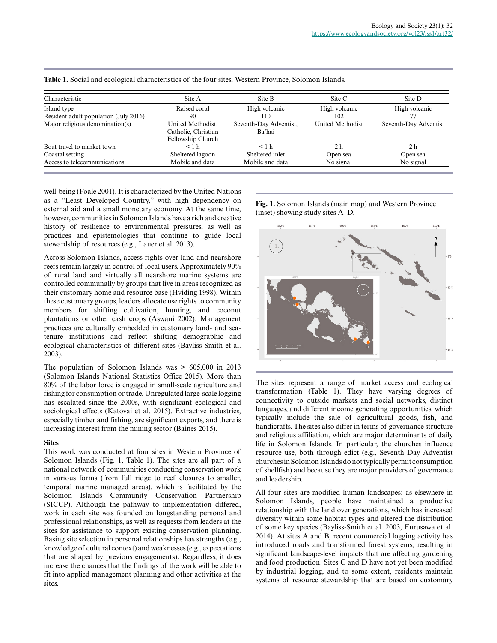| Characteristic                        | Site A              | Site B                 | Site C           | Site D                |
|---------------------------------------|---------------------|------------------------|------------------|-----------------------|
| Island type                           | Raised coral        | High volcanic          | High volcanic    | High volcanic         |
| Resident adult population (July 2016) | 90                  | 110                    | 102              |                       |
| Major religious denomination(s)       | United Methodist,   | Seventh-Day Adventist, | United Methodist | Seventh-Day Adventist |
|                                       | Catholic, Christian | Ba'hai                 |                  |                       |
|                                       | Fellowship Church   |                        |                  |                       |
| Boat travel to market town            | < 1 h               | < 1 h                  | 2 h              | 2 <sub>h</sub>        |
| Coastal setting                       | Sheltered lagoon    | Sheltered inlet        | Open sea         | Open sea              |
| Access to telecommunications          | Mobile and data     | Mobile and data        | No signal        | No signal             |

**Table 1.** Social and ecological characteristics of the four sites, Western Province, Solomon Islands.

well-being (Foale 2001). It is characterized by the United Nations as a "Least Developed Country," with high dependency on external aid and a small monetary economy. At the same time, however, communities in Solomon Islands have a rich and creative history of resilience to environmental pressures, as well as practices and epistemologies that continue to guide local stewardship of resources (e.g., Lauer et al. 2013).

Across Solomon Islands, access rights over land and nearshore reefs remain largely in control of local users. Approximately 90% of rural land and virtually all nearshore marine systems are controlled communally by groups that live in areas recognized as their customary home and resource base (Hviding 1998). Within these customary groups, leaders allocate use rights to community members for shifting cultivation, hunting, and coconut plantations or other cash crops (Aswani 2002). Management practices are culturally embedded in customary land- and seatenure institutions and reflect shifting demographic and ecological characteristics of different sites (Bayliss-Smith et al. 2003).

The population of Solomon Islands was > 605,000 in 2013 (Solomon Islands National Statistics Office 2015). More than 80% of the labor force is engaged in small-scale agriculture and fishing for consumption or trade. Unregulated large-scale logging has escalated since the 2000s, with significant ecological and sociological effects (Katovai et al. 2015). Extractive industries, especially timber and fishing, are significant exports, and there is increasing interest from the mining sector (Baines 2015).

#### **Sites**

This work was conducted at four sites in Western Province of Solomon Islands (Fig. 1, Table 1). The sites are all part of a national network of communities conducting conservation work in various forms (from full ridge to reef closures to smaller, temporal marine managed areas), which is facilitated by the Solomon Islands Community Conservation Partnership (SICCP). Although the pathway to implementation differed, work in each site was founded on longstanding personal and professional relationships, as well as requests from leaders at the sites for assistance to support existing conservation planning. Basing site selection in personal relationships has strengths (e.g., knowledge of cultural context) and weaknesses (e.g., expectations that are shaped by previous engagements). Regardless, it does increase the chances that the findings of the work will be able to fit into applied management planning and other activities at the sites.

### **Fig. 1.** Solomon Islands (main map) and Western Province (inset) showing study sites A–D.



The sites represent a range of market access and ecological transformation (Table 1). They have varying degrees of connectivity to outside markets and social networks, distinct languages, and different income generating opportunities, which typically include the sale of agricultural goods, fish, and handicrafts. The sites also differ in terms of governance structure and religious affiliation, which are major determinants of daily life in Solomon Islands. In particular, the churches influence resource use, both through edict (e.g., Seventh Day Adventist churches in Solomon Islands do not typically permit consumption of shellfish) and because they are major providers of governance and leadership.

All four sites are modified human landscapes: as elsewhere in Solomon Islands, people have maintained a productive relationship with the land over generations, which has increased diversity within some habitat types and altered the distribution of some key species (Bayliss-Smith et al. 2003, Furusawa et al. 2014). At sites A and B, recent commercial logging activity has introduced roads and transformed forest systems, resulting in significant landscape-level impacts that are affecting gardening and food production. Sites C and D have not yet been modified by industrial logging, and to some extent, residents maintain systems of resource stewardship that are based on customary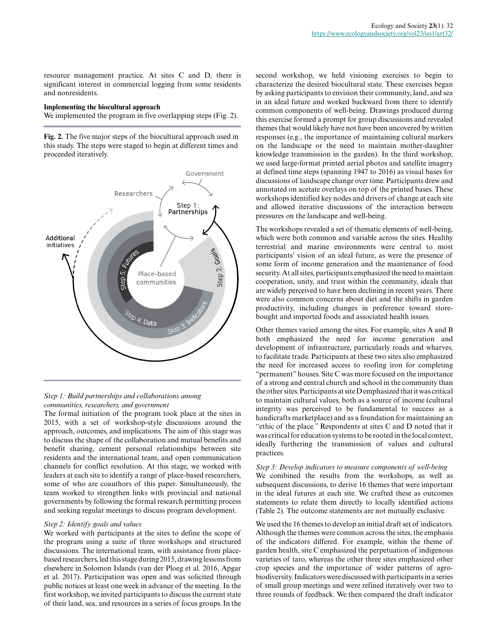resource management practice. At sites C and D, there is significant interest in commercial logging from some residents and nonresidents.

#### **Implementing the biocultural approach**

We implemented the program in five overlapping steps (Fig. 2).

**Fig. 2.** The five major steps of the biocultural approach used in this study. The steps were staged to begin at different times and proceeded iteratively.



# *Step 1: Build partnerships and collaborations among communities, researchers, and government*

The formal initiation of the program took place at the sites in 2015, with a set of workshop-style discussions around the approach, outcomes, and implications. The aim of this stage was to discuss the shape of the collaboration and mutual benefits and benefit sharing, cement personal relationships between site residents and the international team, and open communication channels for conflict resolution. At this stage, we worked with leaders at each site to identify a range of place-based researchers, some of who are coauthors of this paper. Simultaneously, the team worked to strengthen links with provincial and national governments by following the formal research permitting process and seeking regular meetings to discuss program development.

#### *Step 2: Identify goals and values*

We worked with participants at the sites to define the scope of the program using a suite of three workshops and structured discussions. The international team, with assistance from placebased researchers, led this stage during 2015, drawing lessons from elsewhere in Solomon Islands (van der Ploeg et al. 2016, Apgar et al. 2017). Participation was open and was solicited through public notices at least one week in advance of the meeting. In the first workshop, we invited participants to discuss the current state of their land, sea, and resources in a series of focus groups. In the

second workshop, we held visioning exercises to begin to characterize the desired biocultural state. These exercises began by asking participants to envision their community, land, and sea in an ideal future and worked backward from there to identify common components of well-being. Drawings produced during this exercise formed a prompt for group discussions and revealed themes that would likely have not have been uncovered by written responses (e.g., the importance of maintaining cultural markers on the landscape or the need to maintain mother-daughter knowledge transmission in the garden). In the third workshop, we used large-format printed aerial photos and satellite imagery at defined time steps (spanning 1947 to 2016) as visual bases for discussions of landscape change over time. Participants drew and annotated on acetate overlays on top of the printed bases. These workshops identified key nodes and drivers of change at each site and allowed iterative discussions of the interaction between pressures on the landscape and well-being.

The workshops revealed a set of thematic elements of well-being, which were both common and variable across the sites. Healthy terrestrial and marine environments were central to most participants' vision of an ideal future, as were the presence of some form of income generation and the maintenance of food security. At all sites, participants emphasized the need to maintain cooperation, unity, and trust within the community, ideals that are widely perceived to have been declining in recent years. There were also common concerns about diet and the shifts in garden productivity, including changes in preference toward storebought and imported foods and associated health issues.

Other themes varied among the sites. For example, sites A and B both emphasized the need for income generation and development of infrastructure, particularly roads and wharves, to facilitate trade. Participants at these two sites also emphasized the need for increased access to roofing iron for completing "permanent" houses. Site C was more focused on the importance of a strong and central church and school in the community than the other sites. Participants at site D emphasized that it was critical to maintain cultural values, both as a source of income (cultural integrity was perceived to be fundamental to success as a handicrafts marketplace) and as a foundation for maintaining an "ethic of the place." Respondents at sites C and D noted that it was critical for education systems to be rooted in the local context, ideally furthering the transmission of values and cultural practices.

*Step 3: Develop indicators to measure components of well-being* We combined the results from the workshops, as well as subsequent discussions, to derive 16 themes that were important in the ideal futures at each site. We crafted these as outcomes statements to relate them directly to locally identified actions (Table 2). The outcome statements are not mutually exclusive.

We used the 16 themes to develop an initial draft set of indicators. Although the themes were common across the sites, the emphasis of the indicators differed. For example, within the theme of garden health, site C emphasized the perpetuation of indigenous varieties of taro, whereas the other three sites emphasized other crop species and the importance of wider patterns of agrobiodiversity. Indicators were discussed with participants in a series of small group meetings and were refined iteratively over two to three rounds of feedback. We then compared the draft indicator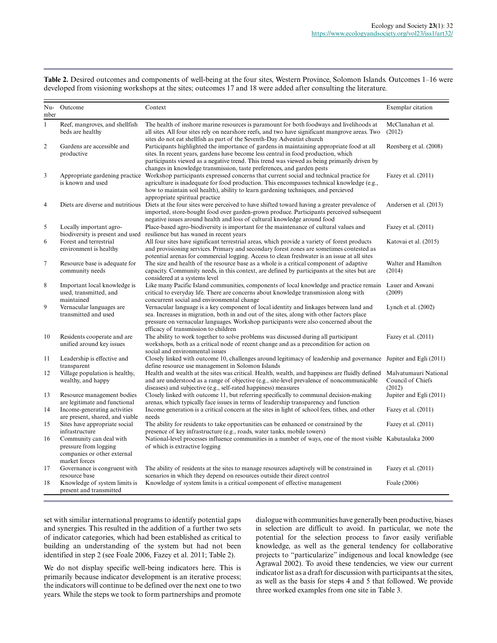**Table 2.** Desired outcomes and components of well-being at the four sites, Western Province, Solomon Islands. Outcomes 1–16 were developed from visioning workshops at the sites; outcomes 17 and 18 were added after consulting the literature.

| mber           | Nu- Outcome                                                                                      | Context                                                                                                                                                                                                                                                                                                                                                                                 | Exemplar citation                                    |
|----------------|--------------------------------------------------------------------------------------------------|-----------------------------------------------------------------------------------------------------------------------------------------------------------------------------------------------------------------------------------------------------------------------------------------------------------------------------------------------------------------------------------------|------------------------------------------------------|
| $\mathbf{1}$   | Reef, mangroves, and shellfish<br>beds are healthy                                               | The health of inshore marine resources is paramount for both foodways and livelihoods at<br>all sites. All four sites rely on nearshore reefs, and two have significant mangrove areas. Two<br>sites do not eat shellfish as part of the Seventh-Day Adventist church                                                                                                                   | McClanahan et al.<br>(2012)                          |
| $\sqrt{2}$     | Gardens are accessible and<br>productive                                                         | Participants highlighted the importance of gardens in maintaining appropriate food at all<br>sites. In recent years, gardens have become less central in food production, which<br>participants viewed as a negative trend. This trend was viewed as being primarily driven by                                                                                                          | Reenberg et al. (2008)                               |
| 3              | Appropriate gardening practice<br>is known and used                                              | changes in knowledge transmission, taste preferences, and garden pests<br>Workshop participants expressed concerns that current social and technical practice for<br>agriculture is inadequate for food production. This encompasses technical knowledge (e.g.,<br>how to maintain soil health), ability to learn gardening techniques, and percieved<br>appropriate spiritual practice | Fazey et al. (2011)                                  |
| $\overline{4}$ | Diets are diverse and nutritious                                                                 | Diets at the four sites were perceived to have shifted toward having a greater prevalence of<br>imported, store-bought food over garden-grown produce. Participants perceived subsequent<br>negative issues around health and loss of cultural knowledge around food                                                                                                                    | Andersen et al. (2013)                               |
| 5              | Locally important agro-<br>biodiversity is present and used                                      | Place-based agro-biodiversity is important for the maintenance of cultural values and<br>resilience but has waned in recent years                                                                                                                                                                                                                                                       | Fazey et al. (2011)                                  |
| 6              | Forest and terrestrial<br>environment is healthy                                                 | All four sites have significant terrestrial areas, which provide a variety of forest products<br>and provisioning services. Primary and secondary forest zones are sometimes contested as<br>potential arenas for commercial logging. Access to clean freshwater is an issue at all sites                                                                                               | Katovai et al. (2015)                                |
| $\tau$         | Resource base is adequate for<br>community needs                                                 | The size and health of the resource base as a whole is a critical component of adaptive<br>capacity. Community needs, in this context, are defined by participants at the sites but are<br>considered at a systems level                                                                                                                                                                | Walter and Hamilton<br>(2014)                        |
| $\,$ 8 $\,$    | Important local knowledge is<br>used, transmitted, and<br>maintained                             | Like many Pacific Island communities, components of local knowledge and practice remain Lauer and Aswani<br>critical to everyday life. There are concerns about knowledge transmission along with<br>concurrent social and environmental change                                                                                                                                         | (2009)                                               |
| 9              | Vernacular languages are<br>transmitted and used                                                 | Vernacular language is a key component of local identity and linkages between land and<br>sea. Increases in migration, both in and out of the sites, along with other factors place<br>pressure on vernacular languages. Workshop participants were also concerned about the<br>efficacy of transmission to children                                                                    | Lynch et al. $(2002)$                                |
| 10             | Residents cooperate and are<br>unified around key issues                                         | The ability to work together to solve problems was discussed during all participant<br>workshops, both as a critical node of recent change and as a precondition for action on<br>social and environmental issues                                                                                                                                                                       | Fazey et al. (2011)                                  |
| 11             | Leadership is effective and<br>transparent                                                       | Closely linked with outcome 10, challenges around legitimacy of leadership and governance<br>define resource use management in Solomon Islands                                                                                                                                                                                                                                          | Jupiter and Egli (2011)                              |
| 12             | Village population is healthy,<br>wealthy, and happy                                             | Health and wealth at the sites was critical. Health, wealth, and happiness are fluidly defined<br>and are understood as a range of objective (e.g., site-level prevalence of noncommunicable<br>diseases) and subjective (e.g., self-rated happiness) measures                                                                                                                          | Malvatumauri National<br>Council of Chiefs<br>(2012) |
| 13             | Resource management bodies<br>are legitimate and functional                                      | Closely linked with outcome 11, but referring specifically to communal decision-making<br>arenas, which typically face issues in terms of leadership transparency and function                                                                                                                                                                                                          | Jupiter and Egli (2011)                              |
| 14             | Income-generating activities<br>are present, shared, and viable                                  | Income generation is a critical concern at the sites in light of school fees, tithes, and other<br>needs                                                                                                                                                                                                                                                                                | Fazey et al. (2011)                                  |
| 15             | Sites have appropriate social<br>infrastructure                                                  | The ability for residents to take opportunities can be enhanced or constrained by the<br>presence of key infrastructure (e.g., roads, water tanks, mobile towers)                                                                                                                                                                                                                       | Fazey et al. (2011)                                  |
| 16             | Community can deal with<br>pressure from logging<br>companies or other external<br>market forces | National-level processes influence communities in a number of ways, one of the most visible Kabutaulaka 2000<br>of which is extractive logging                                                                                                                                                                                                                                          |                                                      |
| 17             | Governance is congruent with<br>resource base                                                    | The ability of residents at the sites to manage resources adaptively will be constrained in<br>scenarios in which they depend on resources outside their direct control                                                                                                                                                                                                                 | Fazey et al. (2011)                                  |
| 18             | Knowledge of system limits is<br>present and transmitted                                         | Knowledge of system limits is a critical component of effective management                                                                                                                                                                                                                                                                                                              | Foale (2006)                                         |

set with similar international programs to identify potential gaps and synergies. This resulted in the addition of a further two sets of indicator categories, which had been established as critical to building an understanding of the system but had not been identified in step 2 (see Foale 2006, Fazey et al. 2011; Table 2).

We do not display specific well-being indicators here. This is primarily because indicator development is an iterative process; the indicators will continue to be defined over the next one to two years. While the steps we took to form partnerships and promote

dialogue with communities have generally been productive, biases in selection are difficult to avoid. In particular, we note the potential for the selection process to favor easily verifiable knowledge, as well as the general tendency for collaborative projects to "particularize" indigenous and local knowledge (see Agrawal 2002). To avoid these tendencies, we view our current indicator list as a draft for discussion with participants at the sites, as well as the basis for steps 4 and 5 that followed. We provide three worked examples from one site in Table 3.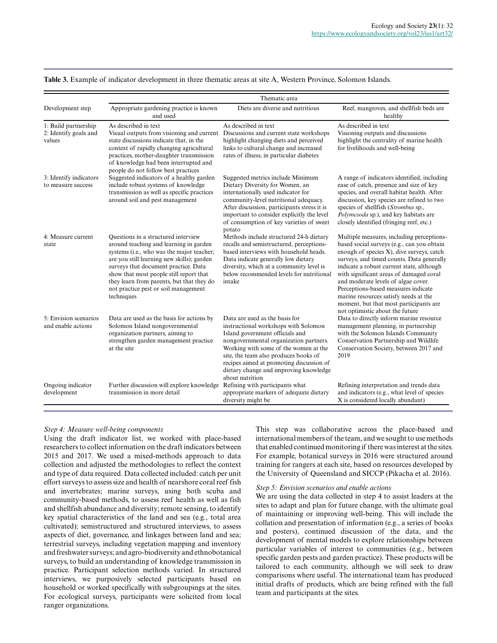**Table 3.** Example of indicator development in three thematic areas at site A, Western Province, Solomon Islands.

|                                                         | Thematic area                                                                                                                                                                                                                                                                                                                                                  |                                                                                                                                                                                                                                                                                                                                                |                                                                                                                                                                                                                                                                                                                                                                                                                                                                               |  |  |
|---------------------------------------------------------|----------------------------------------------------------------------------------------------------------------------------------------------------------------------------------------------------------------------------------------------------------------------------------------------------------------------------------------------------------------|------------------------------------------------------------------------------------------------------------------------------------------------------------------------------------------------------------------------------------------------------------------------------------------------------------------------------------------------|-------------------------------------------------------------------------------------------------------------------------------------------------------------------------------------------------------------------------------------------------------------------------------------------------------------------------------------------------------------------------------------------------------------------------------------------------------------------------------|--|--|
| Development step                                        | Appropriate gardening practice is known<br>and used                                                                                                                                                                                                                                                                                                            | Diets are diverse and nutritious                                                                                                                                                                                                                                                                                                               | Reef, mangroves, and shellfish beds are<br>healthy                                                                                                                                                                                                                                                                                                                                                                                                                            |  |  |
| 1: Build partnership<br>2: Identify goals and<br>values | As described in text<br>Visual outputs from visioning and current<br>state discussions indicate that, in the<br>context of rapidly changing agricultural<br>practices, mother-daughter transmission<br>of knowledge had been interrupted and<br>people do not follow best practices                                                                            | As described in text.<br>Discussions and current state workshops<br>highlight changing diets and perceived<br>links to cultural change and increased<br>rates of illness, in particular diabetes                                                                                                                                               | As described in text<br>Visioning outputs and discussions<br>highlight the centrality of marine health<br>for livelihoods and well-being                                                                                                                                                                                                                                                                                                                                      |  |  |
| 3: Identify indicators<br>to measure success            | Suggested indicators of a healthy garden<br>include robust systems of knowledge<br>transmission as well as specific practices<br>around soil and pest management                                                                                                                                                                                               | Suggested metrics include Minimum<br>Dietary Diversity for Women, an<br>internationally used indicator for<br>community-level nutritional adequacy.<br>After discussion, participants stress it is<br>important to consider explicitly the level<br>of consumption of key varieties of sweet<br>potato                                         | A range of indicators identified, including<br>ease of catch, presence and size of key<br>species, and overall habitat health. After<br>discussion, key species are refined to two<br>species of shellfish (Strombus sp.,<br>Polymesoda sp.), and key habitats are<br>closely identified (fringing reef, etc.)                                                                                                                                                                |  |  |
| 4: Measure current<br>state                             | Questions in a structured interview<br>around teaching and learning in garden<br>systems (i.e., who was the major teacher;<br>are you still learning new skills); garden<br>surveys that document practice. Data<br>show that most people still report that<br>they learn from parents, but that they do<br>not practice pest or soil management<br>techniques | Methods include structured 24-h dietary<br>recalls and semistructured, perceptions-<br>based interviews with household heads.<br>Data indicate generally low dietary<br>diversity, which at a community level is<br>below recommended levels for nutritional<br>intake                                                                         | Multiple measures, including perceptions-<br>based social surveys (e.g., can you obtain<br>enough of species X), dive surveys, catch<br>surveys, and timed counts. Data generally<br>indicate a robust current state, although<br>with significant areas of damaged coral<br>and moderate levels of algae cover.<br>Perceptions-based measures indicate<br>marine resources satisfy needs at the<br>moment, but that most participants are<br>not optimistic about the future |  |  |
| 5: Envision scenarios<br>and enable actions             | Data are used as the basis for actions by<br>Solomon Island nongovernmental<br>organization partners, aiming to<br>strengthen garden management practice<br>at the site                                                                                                                                                                                        | Data are used as the basis for<br>instructional workshops with Solomon<br>Island government officials and<br>nongovernmental organization partners.<br>Working with some of the women at the<br>site, the team also produces books of<br>recipes aimed at promoting discussion of<br>dietary change and improving knowledge<br>about nutrition | Data to directly inform marine resource<br>management planning, in partnership<br>with the Solomon Islands Community<br>Conservation Partnership and Wildlife<br>Conservation Society, between 2017 and<br>2019                                                                                                                                                                                                                                                               |  |  |
| Ongoing indicator<br>development                        | Further discussion will explore knowledge Refining with participants what<br>transmission in more detail                                                                                                                                                                                                                                                       | appropriate markers of adequate dietary<br>diversity might be                                                                                                                                                                                                                                                                                  | Refining interpretation and trends data<br>and indicators (e.g., what level of species<br>X is considered locally abundant)                                                                                                                                                                                                                                                                                                                                                   |  |  |

#### *Step 4: Measure well-being components*

Using the draft indicator list, we worked with place-based researchers to collect information on the draft indicators between 2015 and 2017. We used a mixed-methods approach to data collection and adjusted the methodologies to reflect the context and type of data required. Data collected included: catch per unit effort surveys to assess size and health of nearshore coral reef fish and invertebrates; marine surveys, using both scuba and community-based methods, to assess reef health as well as fish and shellfish abundance and diversity; remote sensing, to identify key spatial characteristics of the land and sea (e.g., total area cultivated); semistructured and structured interviews, to assess aspects of diet, governance, and linkages between land and sea; terrestrial surveys, including vegetation mapping and inventory and freshwater surveys; and agro-biodiversity and ethnobotanical surveys, to build an understanding of knowledge transmission in practice. Participant selection methods varied. In structured interviews, we purposively selected participants based on household or worked specifically with subgroupings at the sites. For ecological surveys, participants were solicited from local ranger organizations.

This step was collaborative across the place-based and international members of the team, and we sought to use methods that enabled continued monitoring if there was interest at the sites. For example, botanical surveys in 2016 were structured around training for rangers at each site, based on resources developed by the University of Queensland and SICCP (Pikacha et al. 2016).

#### *Step 5: Envision scenarios and enable actions*

We are using the data collected in step 4 to assist leaders at the sites to adapt and plan for future change, with the ultimate goal of maintaining or improving well-being. This will include the collation and presentation of information (e.g., a series of books and posters), continued discussion of the data, and the development of mental models to explore relationships between particular variables of interest to communities (e.g., between specific garden pests and garden practice). These products will be tailored to each community, although we will seek to draw comparisons where useful. The international team has produced initial drafts of products, which are being refined with the full team and participants at the sites.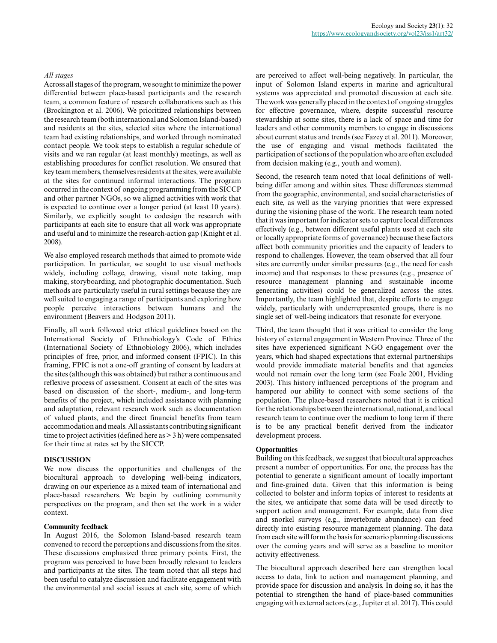#### *All stages*

Across all stages of the program, we sought to minimize the power differential between place-based participants and the research team, a common feature of research collaborations such as this (Brockington et al. 2006). We prioritized relationships between the research team (both international and Solomon Island-based) and residents at the sites, selected sites where the international team had existing relationships, and worked through nominated contact people. We took steps to establish a regular schedule of visits and we ran regular (at least monthly) meetings, as well as establishing procedures for conflict resolution. We ensured that key team members, themselves residents at the sites, were available at the sites for continued informal interactions. The program occurred in the context of ongoing programming from the SICCP and other partner NGOs, so we aligned activities with work that is expected to continue over a longer period (at least 10 years). Similarly, we explicitly sought to codesign the research with participants at each site to ensure that all work was appropriate and useful and to minimize the research-action gap (Knight et al. 2008).

We also employed research methods that aimed to promote wide participation. In particular, we sought to use visual methods widely, including collage, drawing, visual note taking, map making, storyboarding, and photographic documentation. Such methods are particularly useful in rural settings because they are well suited to engaging a range of participants and exploring how people perceive interactions between humans and the environment (Beavers and Hodgson 2011).

Finally, all work followed strict ethical guidelines based on the International Society of Ethnobiology's Code of Ethics (International Society of Ethnobiology 2006), which includes principles of free, prior, and informed consent (FPIC). In this framing, FPIC is not a one-off granting of consent by leaders at the sites (although this was obtained) but rather a continuous and reflexive process of assessment. Consent at each of the sites was based on discussion of the short-, medium-, and long-term benefits of the project, which included assistance with planning and adaptation, relevant research work such as documentation of valued plants, and the direct financial benefits from team accommodation and meals. All assistants contributing significant time to project activities (defined here as > 3 h) were compensated for their time at rates set by the SICCP.

#### **DISCUSSION**

We now discuss the opportunities and challenges of the biocultural approach to developing well-being indicators, drawing on our experience as a mixed team of international and place-based researchers. We begin by outlining community perspectives on the program, and then set the work in a wider context.

# **Community feedback**

In August 2016, the Solomon Island-based research team convened to record the perceptions and discussions from the sites. These discussions emphasized three primary points. First, the program was perceived to have been broadly relevant to leaders and participants at the sites. The team noted that all steps had been useful to catalyze discussion and facilitate engagement with the environmental and social issues at each site, some of which are perceived to affect well-being negatively. In particular, the input of Solomon Island experts in marine and agricultural systems was appreciated and promoted discussion at each site. The work was generally placed in the context of ongoing struggles for effective governance, where, despite successful resource stewardship at some sites, there is a lack of space and time for leaders and other community members to engage in discussions about current status and trends (see Fazey et al. 2011). Moreover, the use of engaging and visual methods facilitated the participation of sections of the population who are often excluded from decision making (e.g., youth and women).

Second, the research team noted that local definitions of wellbeing differ among and within sites. These differences stemmed from the geographic, environmental, and social characteristics of each site, as well as the varying priorities that were expressed during the visioning phase of the work. The research team noted that it was important for indicator sets to capture local differences effectively (e.g., between different useful plants used at each site or locally appropriate forms of governance) because these factors affect both community priorities and the capacity of leaders to respond to challenges. However, the team observed that all four sites are currently under similar pressures (e.g., the need for cash income) and that responses to these pressures (e.g., presence of resource management planning and sustainable income generating activities) could be generalized across the sites. Importantly, the team highlighted that, despite efforts to engage widely, particularly with underrepresented groups, there is no single set of well-being indicators that resonate for everyone.

Third, the team thought that it was critical to consider the long history of external engagement in Western Province. Three of the sites have experienced significant NGO engagement over the years, which had shaped expectations that external partnerships would provide immediate material benefits and that agencies would not remain over the long term (see Foale 2001, Hviding 2003). This history influenced perceptions of the program and hampered our ability to connect with some sections of the population. The place-based researchers noted that it is critical for the relationships between the international, national, and local research team to continue over the medium to long term if there is to be any practical benefit derived from the indicator development process.

#### **Opportunities**

Building on this feedback, we suggest that biocultural approaches present a number of opportunities. For one, the process has the potential to generate a significant amount of locally important and fine-grained data. Given that this information is being collected to bolster and inform topics of interest to residents at the sites, we anticipate that some data will be used directly to support action and management. For example, data from dive and snorkel surveys (e.g., invertebrate abundance) can feed directly into existing resource management planning. The data from each site will form the basis for scenario planning discussions over the coming years and will serve as a baseline to monitor activity effectiveness.

The biocultural approach described here can strengthen local access to data, link to action and management planning, and provide space for discussion and analysis. In doing so, it has the potential to strengthen the hand of place-based communities engaging with external actors (e.g., Jupiter et al. 2017). This could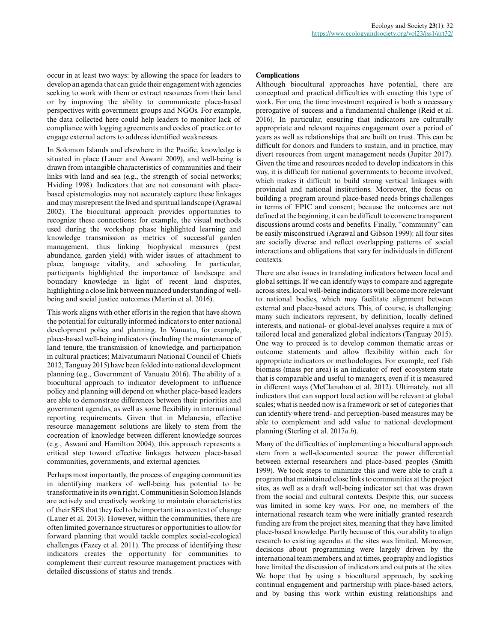occur in at least two ways: by allowing the space for leaders to develop an agenda that can guide their engagement with agencies seeking to work with them or extract resources from their land or by improving the ability to communicate place-based perspectives with government groups and NGOs. For example, the data collected here could help leaders to monitor lack of compliance with logging agreements and codes of practice or to engage external actors to address identified weaknesses.

In Solomon Islands and elsewhere in the Pacific, knowledge is situated in place (Lauer and Aswani 2009), and well-being is drawn from intangible characteristics of communities and their links with land and sea (e.g., the strength of social networks; Hviding 1998). Indicators that are not consonant with placebased epistemologies may not accurately capture these linkages and may misrepresent the lived and spiritual landscape (Agrawal 2002). The biocultural approach provides opportunities to recognize these connections: for example, the visual methods used during the workshop phase highlighted learning and knowledge transmission as metrics of successful garden management, thus linking biophysical measures (pest abundance, garden yield) with wider issues of attachment to place, language vitality, and schooling. In particular, participants highlighted the importance of landscape and boundary knowledge in light of recent land disputes, highlighting a close link between nuanced understanding of wellbeing and social justice outcomes (Martin et al. 2016).

This work aligns with other efforts in the region that have shown the potential for culturally informed indicators to enter national development policy and planning. In Vanuatu, for example, place-based well-being indicators (including the maintenance of land tenure, the transmission of knowledge, and participation in cultural practices; Malvatumauri National Council of Chiefs 2012, Tanguay 2015) have been folded into national development planning (e.g., Government of Vanuatu 2016). The ability of a biocultural approach to indicator development to influence policy and planning will depend on whether place-based leaders are able to demonstrate differences between their priorities and government agendas, as well as some flexibility in international reporting requirements. Given that in Melanesia, effective resource management solutions are likely to stem from the cocreation of knowledge between different knowledge sources (e.g., Aswani and Hamilton 2004), this approach represents a critical step toward effective linkages between place-based communities, governments, and external agencies.

Perhaps most importantly, the process of engaging communities in identifying markers of well-being has potential to be transformative in its own right. Communities in Solomon Islands are actively and creatively working to maintain characteristics of their SES that they feel to be important in a context of change (Lauer et al. 2013). However, within the communities, there are often limited governance structures or opportunities to allow for forward planning that would tackle complex social-ecological challenges (Fazey et al. 2011). The process of identifying these indicators creates the opportunity for communities to complement their current resource management practices with detailed discussions of status and trends.

#### **Complications**

Although biocultural approaches have potential, there are conceptual and practical difficulties with enacting this type of work. For one, the time investment required is both a necessary prerogative of success and a fundamental challenge (Reid et al. 2016). In particular, ensuring that indicators are culturally appropriate and relevant requires engagement over a period of years as well as relationships that are built on trust. This can be difficult for donors and funders to sustain, and in practice, may divert resources from urgent management needs (Jupiter 2017). Given the time and resources needed to develop indicators in this way, it is difficult for national governments to become involved, which makes it difficult to build strong vertical linkages with provincial and national institutions. Moreover, the focus on building a program around place-based needs brings challenges in terms of FPIC and consent; because the outcomes are not defined at the beginning, it can be difficult to convene transparent discussions around costs and benefits. Finally, "community" can be easily misconstrued (Agrawal and Gibson 1999): all four sites are socially diverse and reflect overlapping patterns of social interactions and obligations that vary for individuals in different contexts.

There are also issues in translating indicators between local and global settings. If we can identify ways to compare and aggregate across sites, local well-being indicators will become more relevant to national bodies, which may facilitate alignment between external and place-based actors. This, of course, is challenging: many such indicators represent, by definition, locally defined interests, and national- or global-level analyses require a mix of tailored local and generalized global indicators (Tanguay 2015). One way to proceed is to develop common thematic areas or outcome statements and allow flexibility within each for appropriate indicators or methodologies. For example, reef fish biomass (mass per area) is an indicator of reef ecosystem state that is comparable and useful to managers, even if it is measured in different ways (McClanahan et al. 2012). Ultimately, not all indicators that can support local action will be relevant at global scales; what is needed now is a framework or set of categories that can identify where trend- and perception-based measures may be able to complement and add value to national development planning (Sterling et al. 2017*a,b*).

Many of the difficulties of implementing a biocultural approach stem from a well-documented source: the power differential between external researchers and place-based peoples (Smith 1999). We took steps to minimize this and were able to craft a program that maintained close links to communities at the project sites, as well as a draft well-being indicator set that was drawn from the social and cultural contexts. Despite this, our success was limited in some key ways. For one, no members of the international research team who were initially granted research funding are from the project sites, meaning that they have limited place-based knowledge. Partly because of this, our ability to align research to existing agendas at the sites was limited. Moreover, decisions about programming were largely driven by the international team members, and at times, geography and logistics have limited the discussion of indicators and outputs at the sites. We hope that by using a biocultural approach, by seeking continual engagement and partnership with place-based actors, and by basing this work within existing relationships and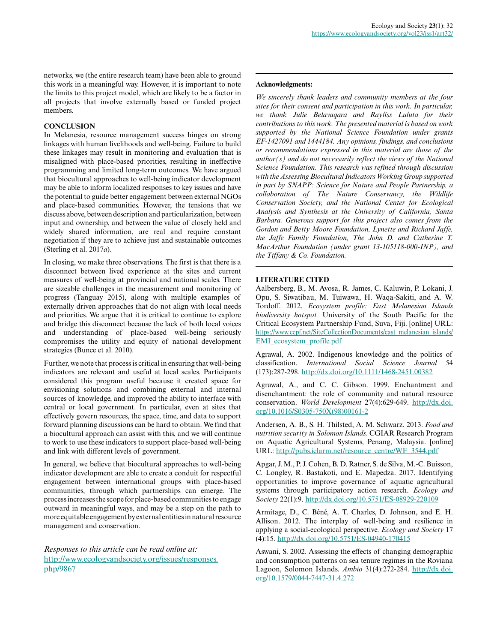networks, we (the entire research team) have been able to ground this work in a meaningful way. However, it is important to note the limits to this project model, which are likely to be a factor in all projects that involve externally based or funded project members.

# **CONCLUSION**

In Melanesia, resource management success hinges on strong linkages with human livelihoods and well-being. Failure to build these linkages may result in monitoring and evaluation that is misaligned with place-based priorities, resulting in ineffective programming and limited long-term outcomes. We have argued that biocultural approaches to well-being indicator development may be able to inform localized responses to key issues and have the potential to guide better engagement between external NGOs and place-based communities. However, the tensions that we discuss above, between description and particularization, between input and ownership, and between the value of closely held and widely shared information, are real and require constant negotiation if they are to achieve just and sustainable outcomes (Sterling et al. 2017*a*).

In closing, we make three observations. The first is that there is a disconnect between lived experience at the sites and current measures of well-being at provincial and national scales. There are sizeable challenges in the measurement and monitoring of progress (Tanguay 2015), along with multiple examples of externally driven approaches that do not align with local needs and priorities. We argue that it is critical to continue to explore and bridge this disconnect because the lack of both local voices and understanding of place-based well-being seriously compromises the utility and equity of national development strategies (Bunce et al. 2010).

Further, we note that process is critical in ensuring that well-being indicators are relevant and useful at local scales. Participants considered this program useful because it created space for envisioning solutions and combining external and internal sources of knowledge, and improved the ability to interface with central or local government. In particular, even at sites that effectively govern resources, the space, time, and data to support forward planning discussions can be hard to obtain. We find that a biocultural approach can assist with this, and we will continue to work to use these indicators to support place-based well-being and link with different levels of government.

In general, we believe that biocultural approaches to well-being indicator development are able to create a conduit for respectful engagement between international groups with place-based communities, through which partnerships can emerge. The process increases the scope for place-based communities to engage outward in meaningful ways, and may be a step on the path to more equitable engagement by external entities in natural resource management and conservation.

*Responses to this article can be read online at:* [http://www.ecologyandsociety.org/issues/responses.](http://www.ecologyandsociety.org/issues/responses.php/9867) [php/9867](http://www.ecologyandsociety.org/issues/responses.php/9867)

#### **Acknowledgments:**

*We sincerely thank leaders and community members at the four sites for their consent and participation in this work. In particular, we thank Julie Belavaqara and Rayliss Luluta for their contributions to this work. The presented material is based on work supported by the National Science Foundation under grants EF-1427091 and 1444184. Any opinions, findings, and conclusions or recommendations expressed in this material are those of the author(s) and do not necessarily reflect the views of the National Science Foundation. This research was refined through discussion with the Assessing Biocultural Indicators Working Group supported in part by SNAPP: Science for Nature and People Partnership, a collaboration of The Nature Conservancy, the Wildlife Conservation Society, and the National Center for Ecological Analysis and Synthesis at the University of California, Santa Barbara. Generous support for this project also comes from the Gordon and Betty Moore Foundation, Lynette and Richard Jaffe, the Jaffe Family Foundation, The John D. and Catherine T. MacArthur Foundation (under grant 13-105118-000-INP), and the Tiffany & Co. Foundation.*

#### **LITERATURE CITED**

Aalbersberg, B., M. Avosa, R. James, C. Kaluwin, P. Lokani, J. Opu, S. Siwatibau, M. Tuiwawa, H. Waqa-Sakiti, and A. W. Tordoff. 2012. *Ecosystem profile: East Melanesian Islands biodiversity hotspot.* University of the South Pacific for the Critical Ecosystem Partnership Fund, Suva, Fiji. [online] URL: [https://www.cepf.net/SiteCollectionDocuments/east\\_melanesian\\_islands/](https://www.cepf.net/SiteCollectionDocuments/east_melanesian_islands/EMI_ecosystem_profile.pdf) [EMI\\_ecosystem\\_profile.pdf](https://www.cepf.net/SiteCollectionDocuments/east_melanesian_islands/EMI_ecosystem_profile.pdf)

Agrawal, A. 2002. Indigenous knowledge and the politics of classification. *International Social Science Journal* 54 (173):287-298. <http://dx.doi.org/10.1111/1468-2451.00382>

Agrawal, A., and C. C. Gibson. 1999. Enchantment and disenchantment: the role of community and natural resource conservation. *World Development* 27(4):629-649. [http://dx.doi.](http://dx.doi.org/10.1016/S0305-750X%2898%2900161-2) [org/10.1016/S0305-750X\(98\)00161-2](http://dx.doi.org/10.1016/S0305-750X%2898%2900161-2) 

Andersen, A. B., S. H. Thilsted, A. M. Schwarz. 2013. *Food and nutrition security in Solomon Islands.* CGIAR Research Program on Aquatic Agricultural Systems, Penang, Malaysia. [online] URL: [http://pubs.iclarm.net/resource\\_centre/WF\\_3544.pdf](http://pubs.iclarm.net/resource_centre/WF_3544.pdf)

Apgar, J. M., P. J. Cohen, B. D. Ratner, S. de Silva, M.-C. Buisson, C. Longley, R. Bastakoti, and E. Mapedza. 2017. Identifying opportunities to improve governance of aquatic agricultural systems through participatory action research. *Ecology and Society* 22(1):9.<http://dx.doi.org/10.5751/ES-08929-220109>

Armitage, D., C. Béné, A. T. Charles, D. Johnson, and E. H. Allison. 2012. The interplay of well-being and resilience in applying a social-ecological perspective. *Ecology and Society* 17 (4):15. <http://dx.doi.org/10.5751/ES-04940-170415>

Aswani, S. 2002. Assessing the effects of changing demographic and consumption patterns on sea tenure regimes in the Roviana Lagoon, Solomon Islands. *Ambio* 31(4):272-284. [http://dx.doi.](http://dx.doi.org/10.1579/0044-7447-31.4.272) [org/10.1579/0044-7447-31.4.272](http://dx.doi.org/10.1579/0044-7447-31.4.272)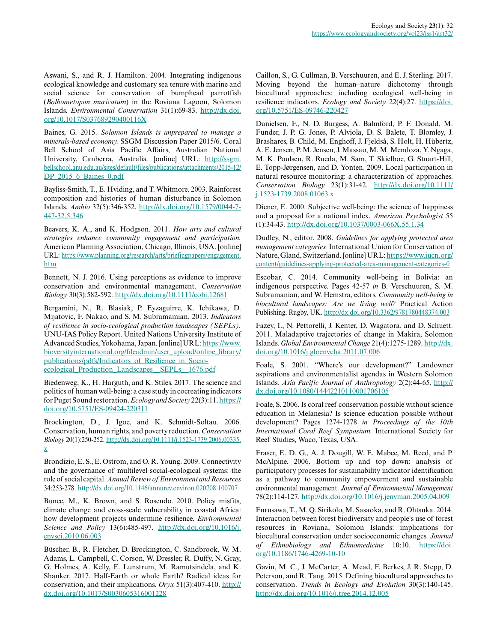Aswani, S., and R. J. Hamilton. 2004. Integrating indigenous ecological knowledge and customary sea tenure with marine and social science for conservation of bumphead parrotfish (*Bolbometopon muricatum*) in the Roviana Lagoon, Solomon Islands. *Environmental Conservation* 31(1):69-83. [http://dx.doi.](http://dx.doi.org/10.1017/S037689290400116X) [org/10.1017/S037689290400116X](http://dx.doi.org/10.1017/S037689290400116X) 

Baines, G. 2015. *Solomon Islands is unprepared to manage a minerals-based economy.* SSGM Discussion Paper 2015/6. Coral Bell School of Asia Pacific Affairs, Australian National University, Canberra, Australia. [online] URL: [http://ssgm.](http://ssgm.bellschool.anu.edu.au/sites/default/files/publications/attachments/2015-12/DP_2015_6_Baines_0.pdf) [bellschool.anu.edu.au/sites/default/files/publications/attachments/2015-12/](http://ssgm.bellschool.anu.edu.au/sites/default/files/publications/attachments/2015-12/DP_2015_6_Baines_0.pdf) [DP\\_2015\\_6\\_Baines\\_0.pdf](http://ssgm.bellschool.anu.edu.au/sites/default/files/publications/attachments/2015-12/DP_2015_6_Baines_0.pdf)

Bayliss-Smith, T., E. Hviding, and T. Whitmore. 2003. Rainforest composition and histories of human disturbance in Solomon Islands. *Ambio* 32(5):346-352. [http://dx.doi.org/10.1579/0044-7](http://dx.doi.org/10.1579/0044-7447-32.5.346) [447-32.5.346](http://dx.doi.org/10.1579/0044-7447-32.5.346)

Beavers, K. A., and K. Hodgson. 2011. *How arts and cultural strategies enhance community engagement and participation.* American Planning Association, Chicago, Illinois, USA. [online] URL: [https://www.planning.org/research/arts/briefingpapers/engagement.](https://www.planning.org/research/arts/briefingpapers/engagement.htm) [htm](https://www.planning.org/research/arts/briefingpapers/engagement.htm)

Bennett, N. J. 2016. Using perceptions as evidence to improve conservation and environmental management. *Conservation Biology* 30(3):582-592. <http://dx.doi.org/10.1111/cobi.12681>

Bergamini, N., R. Blasiak, P. Eyzaguirre, K. Ichikawa, D. Mijatovic, F. Nakao, and S. M. Subramamian. 2013. *Indicators of resilience in socio-ecological production landscapes (SEPLs).* UNU-IAS Policy Report. United Nations University Institute of Advanced Studies, Yokohama, Japan. [online] URL: [https://www.](https://www.bioversityinternational.org/fileadmin/user_upload/online_library/publications/pdfs/Indicators_of_Resilience_in_Socio-ecological_Production_Landscapes__SEPLs__1676.pdf) [bioversityinternational.org/fileadmin/user\\_upload/online\\_library/](https://www.bioversityinternational.org/fileadmin/user_upload/online_library/publications/pdfs/Indicators_of_Resilience_in_Socio-ecological_Production_Landscapes__SEPLs__1676.pdf) [publications/pdfs/Indicators\\_of\\_Resilience\\_in\\_Socio](https://www.bioversityinternational.org/fileadmin/user_upload/online_library/publications/pdfs/Indicators_of_Resilience_in_Socio-ecological_Production_Landscapes__SEPLs__1676.pdf)[ecological\\_Production\\_Landscapes\\_\\_SEPLs\\_\\_1676.pdf](https://www.bioversityinternational.org/fileadmin/user_upload/online_library/publications/pdfs/Indicators_of_Resilience_in_Socio-ecological_Production_Landscapes__SEPLs__1676.pdf)

Biedenweg, K., H. Harguth, and K. Stiles. 2017. The science and politics of human well-being: a case study in cocreating indicators for Puget Sound restoration. *Ecology and Society* 22(3):11. [https://](https://doi.org/10.5751/ES-09424-220311) [doi.org/10.5751/ES-09424-220311](https://doi.org/10.5751/ES-09424-220311)

Brockington, D., J. Igoe, and K. Schmidt-Soltau. 2006. Conservation, human rights, and poverty reduction. *Conservation Biology* 20(1):250-252. [http://dx.doi.org/10.1111/j.1523-1739.2006.00335.](http://dx.doi.org/10.1111/j.1523-1739.2006.00335.x) [x](http://dx.doi.org/10.1111/j.1523-1739.2006.00335.x)

Brondizio, E. S., E. Ostrom, and O. R. Young. 2009. Connectivity and the governance of multilevel social-ecological systems: the role of social capital. *Annual Review of Environment and Resources* 34:253-278. <http://dx.doi.org/10.1146/annurev.environ.020708.100707>

Bunce, M., K. Brown, and S. Rosendo. 2010. Policy misfits, climate change and cross-scale vulnerability in coastal Africa: how development projects undermine resilience. *Environmental Science and Policy* 13(6):485-497. [http://dx.doi.org/10.1016/j.](http://dx.doi.org/10.1016/j.envsci.2010.06.003) [envsci.2010.06.003](http://dx.doi.org/10.1016/j.envsci.2010.06.003) 

Büscher, B., R. Fletcher, D. Brockington, C. Sandbrook, W. M. Adams, L. Campbell, C. Corson, W. Dressler, R. Duffy, N. Gray, G. Holmes, A. Kelly, E. Lunstrum, M. Ramutsindela, and K. Shanker. 2017. Half-Earth or whole Earth? Radical ideas for conservation, and their implications. *Oryx* 51(3):407-410. [http://](http://dx.doi.org/10.1017/S0030605316001228) [dx.doi.org/10.1017/S0030605316001228](http://dx.doi.org/10.1017/S0030605316001228) 

Caillon, S., G. Cullman, B. Verschuuren, and E. J. Sterling. 2017. Moving beyond the human–nature dichotomy through biocultural approaches: including ecological well-being in resilience indicators. *Ecology and Society* 22(4):27. [https://doi.](https://doi.org/10.5751/ES-09746-220427) [org/10.5751/ES-09746-220427](https://doi.org/10.5751/ES-09746-220427) 

Danielsen, F., N. D. Burgess, A. Balmford, P. F. Donald, M. Funder, J. P. G. Jones, P. Alviola, D. S. Balete, T. Blomley, J. Brashares, B. Child, M. Enghoff, J. Fjeldså, S. Holt, H. Hübertz, A. E. Jensen, P. M. Jensen, J. Massao, M. M. Mendoza, Y. Ngaga, M. K. Poulsen, R. Rueda, M. Sam, T. Skielboe, G. Stuart-Hill, E. Topp-Jørgensen, and D. Yonten. 2009. Local participation in natural resource monitoring: a characterization of approaches. *Conservation Biology* 23(1):31-42. [http://dx.doi.org/10.1111/](http://dx.doi.org/10.1111/j.1523-1739.2008.01063.x) [j.1523-1739.2008.01063.x](http://dx.doi.org/10.1111/j.1523-1739.2008.01063.x)

Diener, E. 2000. Subjective well-being: the science of happiness and a proposal for a national index. *American Psychologist* 55 (1):34-43. <http://dx.doi.org/10.1037/0003-066X.55.1.34>

Dudley, N., editor. 2008. *Guidelines for applying protected area management categories.* International Union for Conservation of Nature, Gland, Switzerland. [online] URL: [https://www.iucn.org/](https://www.iucn.org/content/guidelines-applying-protected-area-management-categories-0) [content/guidelines-applying-protected-area-management-categories-0](https://www.iucn.org/content/guidelines-applying-protected-area-management-categories-0) 

Escobar, C. 2014. Community well-being in Bolivia: an indigenous perspective. Pages 42-57 *in* B. Verschuuren, S. M. Subramanian, and W. Hemstra, editors. *Community well-being in biocultural landscapes: Are we living well?* Practical Action Publishing, Rugby, UK.<http://dx.doi.org/10.3362/9781780448374.003>

Fazey, I., N. Pettorelli, J. Kenter, D. Wagatora, and D. Schuett. 2011. Maladaptive trajectories of change in Makira, Solomon Islands. *Global Environmental Change* 21(4):1275-1289. [http://dx.](http://dx.doi.org/10.1016/j.gloenvcha.2011.07.006) [doi.org/10.1016/j.gloenvcha.2011.07.006](http://dx.doi.org/10.1016/j.gloenvcha.2011.07.006) 

Foale, S. 2001. "Where's our development?" Landowner aspirations and environmentalist agendas in Western Solomon Islands. *Asia Pacific Journal of Anthropology* 2(2):44-65. [http://](http://dx.doi.org/10.1080/14442210110001706105) [dx.doi.org/10.1080/14442210110001706105](http://dx.doi.org/10.1080/14442210110001706105) 

Foale, S. 2006. Is coral reef conservation possible without science education in Melanesia? Is science education possible without development? Pages 1274-1278 *in Proceedings of the 10th International Coral Reef Symposium.* International Society for Reef Studies, Waco, Texas, USA.

Fraser, E. D. G., A. J. Dougill, W. E. Mabee, M. Reed, and P. McAlpine. 2006. Bottom up and top down: analysis of participatory processes for sustainability indicator identification as a pathway to community empowerment and sustainable environmental management. *Journal of Environmental Management* 78(2):114-127.<http://dx.doi.org/10.1016/j.jenvman.2005.04.009>

Furusawa, T., M. Q. Sirikolo, M. Sasaoka, and R. Ohtsuka. 2014. Interaction between forest biodiversity and people's use of forest resources in Roviana, Solomon Islands: implications for biocultural conservation under socioeconomic changes. *Journal of Ethnobiology and Ethnomedicine* 10:10. [https://doi.](https://doi.org/10.1186/1746-4269-10-10) [org/10.1186/1746-4269-10-10](https://doi.org/10.1186/1746-4269-10-10)

Gavin, M. C., J. McCarter, A. Mead, F. Berkes, J. R. Stepp, D. Peterson, and R. Tang. 2015. Defining biocultural approaches to conservation. *Trends in Ecology and Evolution* 30(3):140-145. <http://dx.doi.org/10.1016/j.tree.2014.12.005>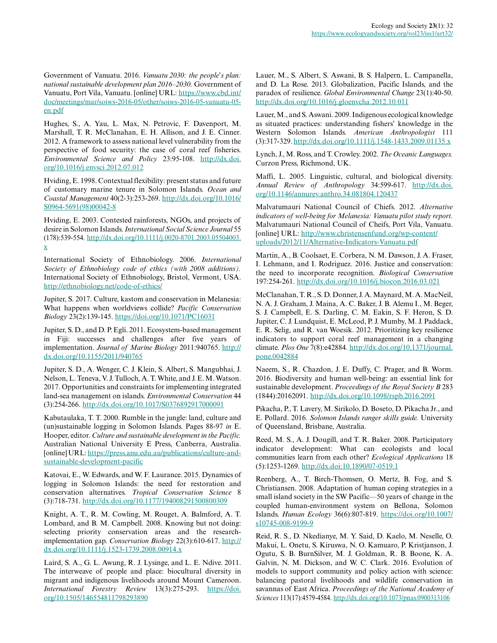Government of Vanuatu. 2016. *Vanuatu 2030: the people*'*s plan: national sustainable development plan 2016–2030.* Government of Vanuatu, Port Vila, Vanuatu. [online] URL: [https://www.cbd.int/](https://www.cbd.int/doc/meetings/mar/soiws-2016-05/other/soiws-2016-05-vanuatu-05-en.pdf) [doc/meetings/mar/soiws-2016-05/other/soiws-2016-05-vanuatu-05](https://www.cbd.int/doc/meetings/mar/soiws-2016-05/other/soiws-2016-05-vanuatu-05-en.pdf) [en.pdf](https://www.cbd.int/doc/meetings/mar/soiws-2016-05/other/soiws-2016-05-vanuatu-05-en.pdf)

Hughes, S., A. Yau, L. Max, N. Petrovic, F. Davenport, M. Marshall, T. R. McClanahan, E. H. Allison, and J. E. Cinner. 2012. A framework to assess national level vulnerability from the perspective of food security: the case of coral reef fisheries. *Environmental Science and Policy* 23:95-108. [http://dx.doi.](http://dx.doi.org/10.1016/j.envsci.2012.07.012) [org/10.1016/j.envsci.2012.07.012](http://dx.doi.org/10.1016/j.envsci.2012.07.012) 

Hviding, E. 1998. Contextual flexibility: present status and future of customary marine tenure in Solomon Islands. *Ocean and Coastal Management* 40(2-3):253-269. [http://dx.doi.org/10.1016/](http://dx.doi.org/10.1016/S0964-5691%2898%2900042-8) [S0964-5691\(98\)00042-8](http://dx.doi.org/10.1016/S0964-5691%2898%2900042-8) 

Hviding, E. 2003. Contested rainforests, NGOs, and projects of desire in Solomon Islands. *International Social Science Journal* 55 (178):539-554. [http://dx.doi.org/10.1111/j.0020-8701.2003.05504003.](http://dx.doi.org/10.1111/j.0020-8701.2003.05504003.x) [x](http://dx.doi.org/10.1111/j.0020-8701.2003.05504003.x)

International Society of Ethnobiology. 2006. *International Society of Ethnobiology code of ethics (with 2008 additions).* International Society of Ethnobiology, Bristol, Vermont, USA. <http://ethnobiology.net/code-of-ethics/>

Jupiter, S. 2017. Culture, kastom and conservation in Melanesia: What happens when worldviews collide? *Pacific Conservation Biology* 23(2):139-145. <https://doi.org/10.1071/PC16031>

Jupiter, S. D., and D. P. Egli. 2011. Ecosystem-based management in Fiji: successes and challenges after five years of implementation. *Journal of Marine Biology* 2011:940765. [http://](http://dx.doi.org/10.1155/2011/940765) [dx.doi.org/10.1155/2011/940765](http://dx.doi.org/10.1155/2011/940765)

Jupiter, S. D., A. Wenger, C. J. Klein, S. Albert, S. Mangubhai, J. Nelson, L. Teneva, V. J. Tulloch, A. T. White, and J. E. M. Watson. 2017. Opportunities and constraints for implementing integrated land-sea management on islands. *Environmental Conservation* 44 (3):254-266. <http://dx.doi.org/10.1017/S0376892917000091>

Kabutaulaka, T. T. 2000. Rumble in the jungle: land, culture and (un)sustainable logging in Solomon Islands. Pages 88-97 *in* E. Hooper, editor. *Culture and sustainable development in the Pacific.* Australian National University E Press, Canberra, Australia. [online] URL: [https://press.anu.edu.au/publications/culture-and](https://press.anu.edu.au/publications/culture-and-sustainable-development-pacific)[sustainable-development-pacific](https://press.anu.edu.au/publications/culture-and-sustainable-development-pacific)

Katovai, E., W. Edwards, and W. F. Laurance. 2015. Dynamics of logging in Solomon Islands: the need for restoration and conservation alternatives. *Tropical Conservation Science* 8 (3):718-731. <http://dx.doi.org/10.1177/194008291500800309>

Knight, A. T., R. M. Cowling, M. Rouget, A. Balmford, A. T. Lombard, and B. M. Campbell. 2008. Knowing but not doing: selecting priority conservation areas and the researchimplementation gap. *Conservation Biology* 22(3):610-617. [http://](http://dx.doi.org/10.1111/j.1523-1739.2008.00914.x) [dx.doi.org/10.1111/j.1523-1739.2008.00914.x](http://dx.doi.org/10.1111/j.1523-1739.2008.00914.x)

Laird, S. A., G. L. Awung, R. J. Lysinge, and L. E. Ndive. 2011. The interweave of people and place: biocultural diversity in migrant and indigenous livelihoods around Mount Cameroon. *International Forestry Review* 13(3):275-293. [https://doi.](https://doi.org/10.1505/146554811798293890) [org/10.1505/146554811798293890](https://doi.org/10.1505/146554811798293890)

Lauer, M., S. Albert, S. Aswani, B. S. Halpern, L. Campanella, and D. La Rose. 2013. Globalization, Pacific Islands, and the paradox of resilience. *Global Environmental Change* 23(1):40-50. <http://dx.doi.org/10.1016/j.gloenvcha.2012.10.011>

Lauer, M., and S. Aswani. 2009. Indigenous ecological knowledge as situated practices: understanding fishers' knowledge in the Western Solomon Islands. *American Anthropologist* 111 (3):317-329.<http://dx.doi.org/10.1111/j.1548-1433.2009.01135.x>

Lynch, J., M. Ross, and T. Crowley. 2002. *The Oceanic Languages.* Curzon Press, Richmond, UK.

Maffi, L. 2005. Linguistic, cultural, and biological diversity. *Annual Review of Anthropology* 34:599-617. [http://dx.doi.](http://dx.doi.org/10.1146/annurev.anthro.34.081804.120437) [org/10.1146/annurev.anthro.34.081804.120437](http://dx.doi.org/10.1146/annurev.anthro.34.081804.120437)

Malvatumauri National Council of Chiefs. 2012. *Alternative indicators of well-being for Melanesia: Vanuatu pilot study report.* Malvatumauri National Council of Cheifs, Port Vila, Vanuatu. [online] URL: [http://www.christensenfund.org/wp-content/](http://www.christensenfund.org/wp-content/uploads/2012/11/Alternative-Indicators-Vanuatu.pdf) [uploads/2012/11/Alternative-Indicators-Vanuatu.pdf](http://www.christensenfund.org/wp-content/uploads/2012/11/Alternative-Indicators-Vanuatu.pdf)

Martin, A., B. Coolsaet, E. Corbera, N. M. Dawson, J. A. Fraser, I. Lehmann, and I. Rodriguez. 2016. Justice and conservation: the need to incorporate recognition. *Biological Conservation* 197:254-261. <http://dx.doi.org/10.1016/j.biocon.2016.03.021>

McClanahan, T. R., S. D. Donner, J. A. Maynard, M. A. MacNeil, N. A. J. Graham, J. Maina, A. C. Baker, J. B. Alemu I., M. Beger, S. J. Campbell, E. S. Darling, C. M. Eakin, S. F. Heron, S. D. Jupiter, C. J. Lundquist, E. McLeod, P. J. Mumby, M. J. Paddack, E. R. Selig, and R. van Woesik. 2012. Prioritizing key resilience indicators to support coral reef management in a changing climate. *Plos One* 7(8):e42884. [http://dx.doi.org/10.1371/journal.](http://dx.doi.org/10.1371/journal.pone.0042884) [pone.0042884](http://dx.doi.org/10.1371/journal.pone.0042884)

Naeem, S., R. Chazdon, J. E. Duffy, C. Prager, and B. Worm. 2016. Biodiversity and human well-being: an essential link for sustainable development. *Proceedings of the Royal Society B* 283 (1844):20162091.<http://dx.doi.org/10.1098/rspb.2016.2091>

Pikacha, P., T. Lavery, M. Sirikolo, D. Boseto, D. Pikacha Jr., and E. Pollard. 2016. *Solomon Islands ranger skills guide.* University of Queensland, Brisbane, Australia.

Reed, M. S., A. J. Dougill, and T. R. Baker. 2008. Participatory indicator development: What can ecologists and local communities learn from each other? *Ecological Applications* 18 (5):1253-1269. <http://dx.doi:10.1890/07-0519.1>

Reenberg, A., T. Birch-Thomsen, O. Mertz, B. Fog, and S. Christiansen. 2008. Adaptation of human coping strategies in a small island society in the SW Pacific—50 years of change in the coupled human-environment system on Bellona, Solomon Islands. *Human Ecology* 36(6):807-819. [https://doi.org/10.1007/](https://doi.org/10.1007/s10745-008-9199-9) [s10745-008-9199-9](https://doi.org/10.1007/s10745-008-9199-9) 

Reid, R. S., D. Nkedianye, M. Y. Said, D. Kaelo, M. Neselle, O. Makui, L. Onetu, S. Kiruswa, N. O. Kamuaro, P. Kristjanson, J. Ogutu, S. B. BurnSilver, M. J. Goldman, R. B. Boone, K. A. Galvin, N. M. Dickson, and W. C. Clark. 2016. Evolution of models to support community and policy action with science: balancing pastoral livelihoods and wildlife conservation in savannas of East Africa. *Proceedings of the National Academy of Sciences* 113(17):4579-4584. <http://dx.doi.org/10.1073/pnas.0900313106>